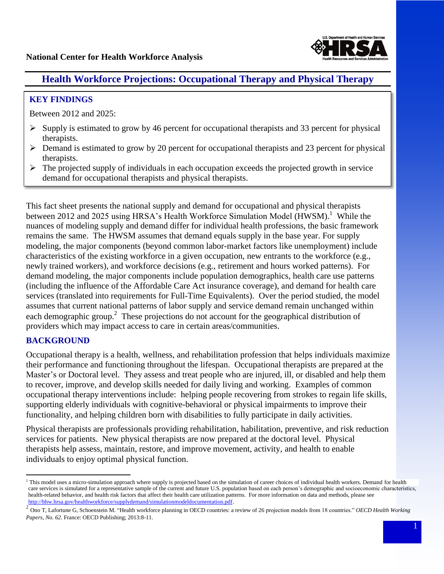

# **National Center for Health Workforce Analysis Health Workforce Analysis Health Resources and Services Adminit**

### **KEY FINDINGS**

Between 2012 and 2025:

- $\triangleright$  Supply is estimated to grow by 46 percent for occupational therapists and 33 percent for physical therapists.
- $\triangleright$  Demand is estimated to grow by 20 percent for occupational therapists and 23 percent for physical therapists.
- $\triangleright$  The projected supply of individuals in each occupation exceeds the projected growth in service demand for occupational therapists and physical therapists.

between 2012 and 2025 using HRSA's Health Workforce Simulation Model (HWSM).<sup>1</sup> While the remains the same. The HWSM assumes that demand equals supply in the base year. For supply (including the influence of the Affordable Care Act insurance coverage), and demand for health care services (translated into requirements for Full-Time Equivalents). Over the period studied, the model each demographic group.<sup>2</sup> These projections do not account for the geographical distribution of This fact sheet presents the national supply and demand for occupational and physical therapists nuances of modeling supply and demand differ for individual health professions, the basic framework modeling, the major components (beyond common labor-market factors like unemployment) include characteristics of the existing workforce in a given occupation, new entrants to the workforce (e.g., newly trained workers), and workforce decisions (e.g., retirement and hours worked patterns). For demand modeling, the major components include population demographics, health care use patterns assumes that current national patterns of labor supply and service demand remain unchanged within providers which may impact access to care in certain areas/communities.

## **BACKGROUND**

 $\overline{a}$ 

 their performance and functioning throughout the lifespan. Occupational therapists are prepared at the to recover, improve, and develop skills needed for daily living and working. Examples of common occupational therapy interventions include: helping people recovering from strokes to regain life skills, supporting elderly individuals with cognitive-behavioral or physical impairments to improve their functionality, and helping children born with disabilities to fully participate in daily activities. Occupational therapy is a health, wellness, and rehabilitation profession that helps individuals maximize Master's or Doctoral level. They assess and treat people who are injured, ill, or disabled and help them

 Physical therapists are professionals providing rehabilitation, habilitation, preventive, and risk reduction services for patients. New physical therapists are now prepared at the doctoral level. Physical therapists help assess, maintain, restore, and improve movement, activity, and health to enable individuals to enjoy optimal physical function.

<sup>&</sup>lt;sup>1</sup> This model uses a micro-simulation approach where supply is projected based on the simulation of career choices of individual health workers. Demand for health care services is simulated for a representative sample of the current and future U.S. population based on each person's demographic and socioeconomic characteristics, health-related behavior, and health risk factors that affect their health care utilization patterns. For more information on data and methods, please see <http://bhw.hrsa.gov/healthworkforce/supplydemand/simulationmodeldocumentation.pdf>.

<sup>&</sup>lt;sup>2</sup> Ono T, Lafortune G, Schoenstein M. "Health workforce planning in OECD countries: a review of 26 projection models from 18 countries." *OECD Health Working Papers, No. 62*. France: OECD Publishing; 2013:8-11.